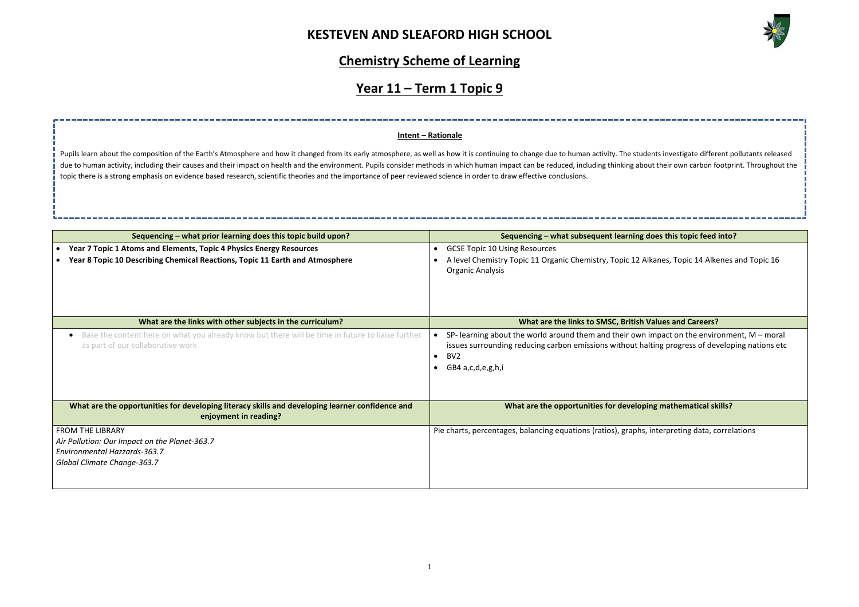

**Sequencing interation into** topic feed into? Ikanes, Topic 14 Alkenes and Topic 16 **Walues and Careers?** impact on the environment,  $M$  – moral Iting progress of developing nations etc **Ing mathematical skills?** , interpreting data, correlations

## **Chemistry Scheme of Learning**

# **Year 11 – Term 1 Topic 9**

| Sequencing - what prior learning does this topic build upon?                                                                                        |           | Sequencing - what subsequent learning of                                                                                                                  |
|-----------------------------------------------------------------------------------------------------------------------------------------------------|-----------|-----------------------------------------------------------------------------------------------------------------------------------------------------------|
| Year 7 Topic 1 Atoms and Elements, Topic 4 Physics Energy Resources<br>Year 8 Topic 10 Describing Chemical Reactions, Topic 11 Earth and Atmosphere | $\bullet$ | <b>GCSE Topic 10 Using Resources</b><br>A level Chemistry Topic 11 Organic Chemistry, Topic 12 Al<br>Organic Analysis                                     |
| What are the links with other subjects in the curriculum?                                                                                           |           | What are the links to SMSC, British \                                                                                                                     |
| Base the content here on what you already know but there will be time in future to liaise further<br>as part of our collaborative work              | $\bullet$ | SP- learning about the world around them and their own<br>issues surrounding reducing carbon emissions without ha<br>BV <sub>2</sub><br>GB4 a,c,d,e,g,h,i |
| What are the opportunities for developing literacy skills and developing learner confidence and<br>enjoyment in reading?                            |           | What are the opportunities for developi                                                                                                                   |
| <b>FROM THE LIBRARY</b><br>Air Pollution: Our Impact on the Planet-363.7<br>Environmental Hazzards-363.7<br>Global Climate Change-363.7             |           | Pie charts, percentages, balancing equations (ratios), graphs,                                                                                            |

Pupils learn about the composition of the Earth's Atmosphere and how it changed from its early atmosphere, as well as how it is continuing to change due to human activity. The students investigate different pollutants rele due to human activity, including their causes and their impact on health and the environment. Pupils consider methods in which human impact can be reduced, including thinking about their own carbon footprint. Throughout th topic there is a strong emphasis on evidence based research, scientific theories and the importance of peer reviewed science in order to draw effective conclusions.

### **Intent – Rationale**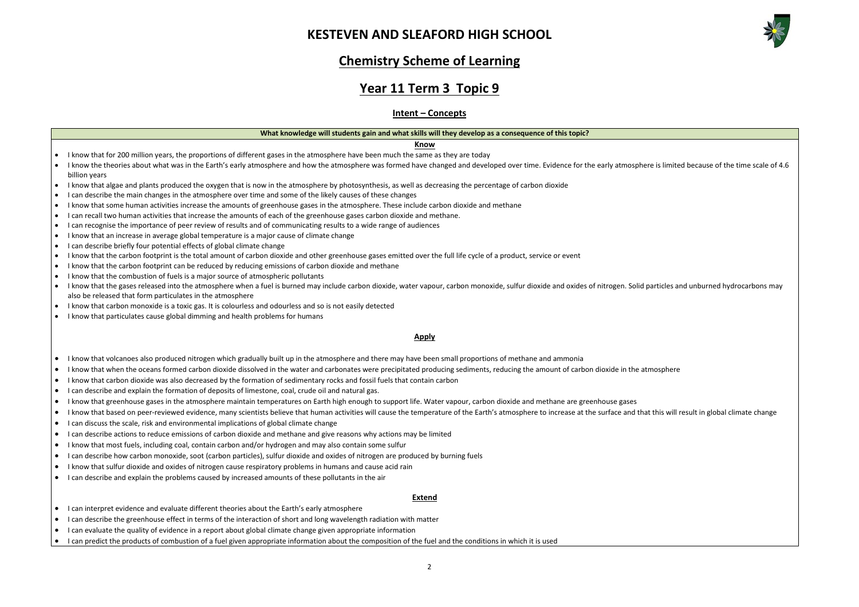

| e is limited because of the time scale of 4.6 |
|-----------------------------------------------|
|                                               |
| articles and unburned hydrocarbons may        |
| nosphere                                      |
| this will result in global climate change     |
|                                               |
|                                               |

## **Chemistry Scheme of Learning**

## **Year 11 Term 3 Topic 9**

## **Intent – Concepts**

#### **What knowledge will students gain and what skills will they develop as a consequence of this topic?**

#### **Know**

- I know that for 200 million years, the proportions of different gases in the atmosphere have been much the same as they are today
- I know the theories about what was in the Earth's early atmosphere and how the atmosphere was formed have changed and developed over time. Evidence for the early atmosphere billion years
- I know that algae and plants produced the oxygen that is now in the atmosphere by photosynthesis, as well as decreasing the percentage of carbon dioxide
- I can describe the main changes in the atmosphere over time and some of the likely causes of these changes
- I know that some human activities increase the amounts of greenhouse gases in the atmosphere. These include carbon dioxide and methane
- I can recall two human activities that increase the amounts of each of the greenhouse gases carbon dioxide and methane.
- I can recognise the importance of peer review of results and of communicating results to a wide range of audiences
- I know that an increase in average global temperature is a major cause of climate change
- I can describe briefly four potential effects of global climate change
- I know that the carbon footprint is the total amount of carbon dioxide and other greenhouse gases emitted over the full life cycle of a product, service or event
- I know that the carbon footprint can be reduced by reducing emissions of carbon dioxide and methane
- I know that the combustion of fuels is a major source of atmospheric pollutants
- I know that the gases released into the atmosphere when a fuel is burned may include carbon dioxide, water vapour, carbon monoxide, sulfur dioxide and oxides of nitrogen. Solid p also be released that form particulates in the atmosphere
- I know that carbon monoxide is a toxic gas. It is colourless and odourless and so is not easily detected
- I know that particulates cause global dimming and health problems for humans

#### **Apply**

- I know that volcanoes also produced nitrogen which gradually built up in the atmosphere and there may have been small proportions of methane and ammonia
- I know that when the oceans formed carbon dioxide dissolved in the water and carbonates were precipitated producing sediments, reducing the amount of carbon dioxide in the atr
- I know that carbon dioxide was also decreased by the formation of sedimentary rocks and fossil fuels that contain carbon
- I can describe and explain the formation of deposits of limestone, coal, crude oil and natural gas.
- I know that greenhouse gases in the atmosphere maintain temperatures on Earth high enough to support life. Water vapour, carbon dioxide and methane are greenhouse gases
- I know that based on peer-reviewed evidence, many scientists believe that human activities will cause the temperature of the Earth's atmosphere to increase at the surface and that
- I can discuss the scale, risk and environmental implications of global climate change
- I can describe actions to reduce emissions of carbon dioxide and methane and give reasons why actions may be limited
- I know that most fuels, including coal, contain carbon and/or hydrogen and may also contain some sulfur
- I can describe how carbon monoxide, soot (carbon particles), sulfur dioxide and oxides of nitrogen are produced by burning fuels
- I know that sulfur dioxide and oxides of nitrogen cause respiratory problems in humans and cause acid rain
- I can describe and explain the problems caused by increased amounts of these pollutants in the air

#### **Extend**

- I can interpret evidence and evaluate different theories about the Earth's early atmosphere
- I can describe the greenhouse effect in terms of the interaction of short and long wavelength radiation with matter
- I can evaluate the quality of evidence in a report about global climate change given appropriate information
- I can predict the products of combustion of a fuel given appropriate information about the composition of the fuel and the conditions in which it is used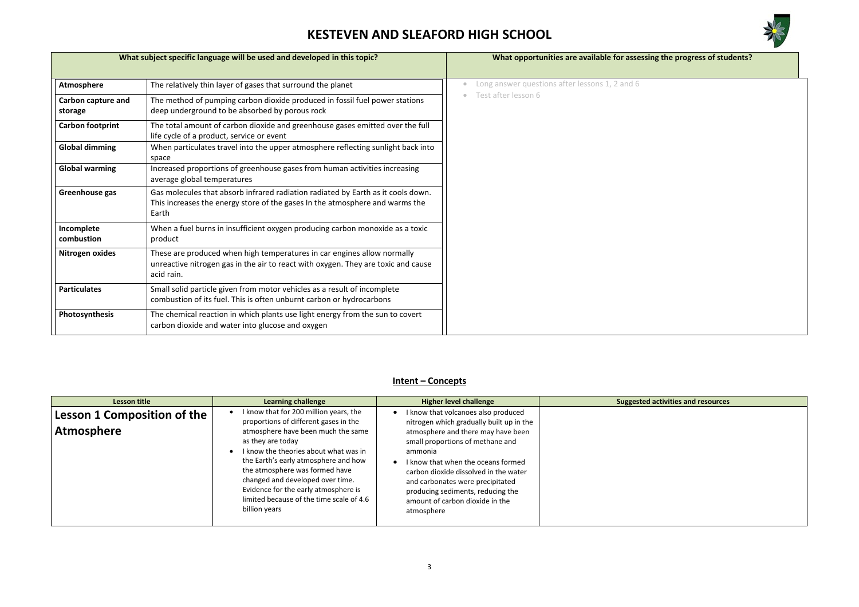

## **What is subject specific specific specific sets**

# **Letarallenge challenge in the control activities and resources**

|                               | What subject specific language will be used and developed in this topic?                                                                                                   | What opportunities are available for assess    |
|-------------------------------|----------------------------------------------------------------------------------------------------------------------------------------------------------------------------|------------------------------------------------|
| Atmosphere                    | The relatively thin layer of gases that surround the planet                                                                                                                | Long answer questions after lessons 1, 2 and 6 |
| Carbon capture and<br>storage | The method of pumping carbon dioxide produced in fossil fuel power stations<br>deep underground to be absorbed by porous rock                                              | Test after lesson 6                            |
| <b>Carbon footprint</b>       | The total amount of carbon dioxide and greenhouse gases emitted over the full<br>life cycle of a product, service or event                                                 |                                                |
| <b>Global dimming</b>         | When particulates travel into the upper atmosphere reflecting sunlight back into<br>space                                                                                  |                                                |
| <b>Global warming</b>         | Increased proportions of greenhouse gases from human activities increasing<br>average global temperatures                                                                  |                                                |
| Greenhouse gas                | Gas molecules that absorb infrared radiation radiated by Earth as it cools down.<br>This increases the energy store of the gases In the atmosphere and warms the<br>Earth  |                                                |
| Incomplete<br>combustion      | When a fuel burns in insufficient oxygen producing carbon monoxide as a toxic<br>product                                                                                   |                                                |
| Nitrogen oxides               | These are produced when high temperatures in car engines allow normally<br>unreactive nitrogen gas in the air to react with oxygen. They are toxic and cause<br>acid rain. |                                                |
| <b>Particulates</b>           | Small solid particle given from motor vehicles as a result of incomplete<br>combustion of its fuel. This is often unburnt carbon or hydrocarbons                           |                                                |
| Photosynthesis                | The chemical reaction in which plants use light energy from the sun to covert<br>carbon dioxide and water into glucose and oxygen                                          |                                                |

## **Intent – Concepts**

| <b>Lesson title</b>                                     | <b>Learning challenge</b>                                                                                                                                                                                                                                                                                                                                                                              | <b>Higher level challenge</b>                                                                                                                                                                                                                                                                                                                                               | Suggested |
|---------------------------------------------------------|--------------------------------------------------------------------------------------------------------------------------------------------------------------------------------------------------------------------------------------------------------------------------------------------------------------------------------------------------------------------------------------------------------|-----------------------------------------------------------------------------------------------------------------------------------------------------------------------------------------------------------------------------------------------------------------------------------------------------------------------------------------------------------------------------|-----------|
| <b>Lesson 1 Composition of the</b><br><b>Atmosphere</b> | I know that for 200 million years, the<br>proportions of different gases in the<br>atmosphere have been much the same<br>as they are today<br>I know the theories about what was in<br>the Earth's early atmosphere and how<br>the atmosphere was formed have<br>changed and developed over time.<br>Evidence for the early atmosphere is<br>limited because of the time scale of 4.6<br>billion years | I know that volcanoes also produced<br>nitrogen which gradually built up in the<br>atmosphere and there may have been<br>small proportions of methane and<br>ammonia<br>know that when the oceans formed<br>carbon dioxide dissolved in the water<br>and carbonates were precipitated<br>producing sediments, reducing the<br>amount of carbon dioxide in the<br>atmosphere |           |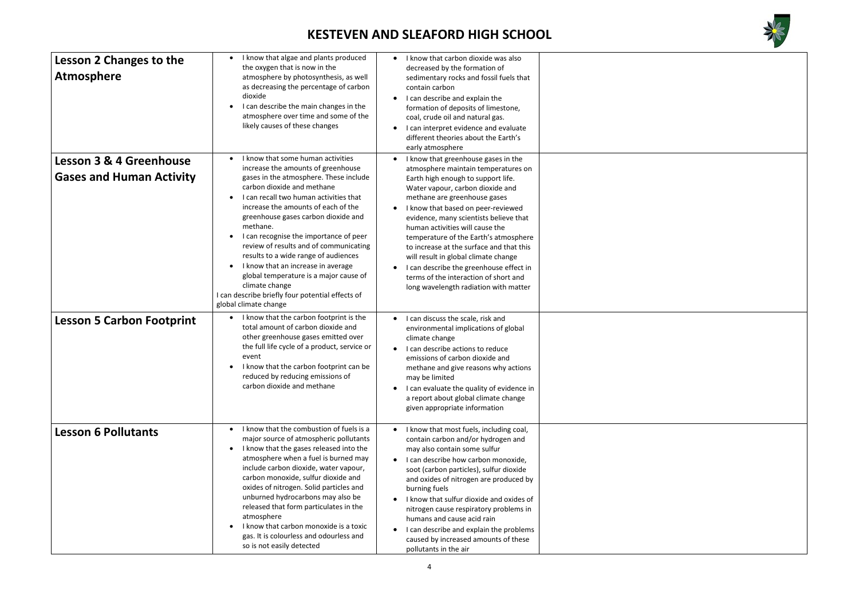

| <b>Lesson 2 Changes to the</b><br><b>Atmosphere</b>                   | I know that algae and plants produced<br>$\bullet$<br>the oxygen that is now in the<br>atmosphere by photosynthesis, as well<br>as decreasing the percentage of carbon<br>dioxide<br>I can describe the main changes in the<br>atmosphere over time and some of the<br>likely causes of these changes                                                                                                                                                                                                                                                                                                       | I know that carbon dioxide was also<br>$\bullet$<br>decreased by the formation of<br>sedimentary rocks and fossil fuels that<br>contain carbon<br>I can describe and explain the<br>formation of deposits of limestone,<br>coal, crude oil and natural gas.<br>I can interpret evidence and evaluate<br>different theories about the Earth's<br>early atmosphere                                                                                                                                                                                                  |
|-----------------------------------------------------------------------|-------------------------------------------------------------------------------------------------------------------------------------------------------------------------------------------------------------------------------------------------------------------------------------------------------------------------------------------------------------------------------------------------------------------------------------------------------------------------------------------------------------------------------------------------------------------------------------------------------------|-------------------------------------------------------------------------------------------------------------------------------------------------------------------------------------------------------------------------------------------------------------------------------------------------------------------------------------------------------------------------------------------------------------------------------------------------------------------------------------------------------------------------------------------------------------------|
| <b>Lesson 3 &amp; 4 Greenhouse</b><br><b>Gases and Human Activity</b> | I know that some human activities<br>$\bullet$<br>increase the amounts of greenhouse<br>gases in the atmosphere. These include<br>carbon dioxide and methane<br>I can recall two human activities that<br>increase the amounts of each of the<br>greenhouse gases carbon dioxide and<br>methane.<br>I can recognise the importance of peer<br>review of results and of communicating<br>results to a wide range of audiences<br>I know that an increase in average<br>global temperature is a major cause of<br>climate change<br>I can describe briefly four potential effects of<br>global climate change | I know that greenhouse gases in the<br>atmosphere maintain temperatures on<br>Earth high enough to support life.<br>Water vapour, carbon dioxide and<br>methane are greenhouse gases<br>I know that based on peer-reviewed<br>evidence, many scientists believe that<br>human activities will cause the<br>temperature of the Earth's atmosphere<br>to increase at the surface and that this<br>will result in global climate change<br>I can describe the greenhouse effect in<br>terms of the interaction of short and<br>long wavelength radiation with matter |
| <b>Lesson 5 Carbon Footprint</b>                                      | I know that the carbon footprint is the<br>total amount of carbon dioxide and<br>other greenhouse gases emitted over<br>the full life cycle of a product, service or<br>event<br>I know that the carbon footprint can be<br>reduced by reducing emissions of<br>carbon dioxide and methane                                                                                                                                                                                                                                                                                                                  | I can discuss the scale, risk and<br>$\bullet$<br>environmental implications of global<br>climate change<br>I can describe actions to reduce<br>$\bullet$<br>emissions of carbon dioxide and<br>methane and give reasons why actions<br>may be limited<br>I can evaluate the quality of evidence in<br>a report about global climate change<br>given appropriate information                                                                                                                                                                                      |
| <b>Lesson 6 Pollutants</b>                                            | I know that the combustion of fuels is a<br>$\bullet$<br>major source of atmospheric pollutants<br>I know that the gases released into the<br>atmosphere when a fuel is burned may<br>include carbon dioxide, water vapour,<br>carbon monoxide, sulfur dioxide and<br>oxides of nitrogen. Solid particles and<br>unburned hydrocarbons may also be<br>released that form particulates in the<br>atmosphere<br>I know that carbon monoxide is a toxic<br>gas. It is colourless and odourless and<br>so is not easily detected                                                                                | I know that most fuels, including coal,<br>contain carbon and/or hydrogen and<br>may also contain some sulfur<br>I can describe how carbon monoxide,<br>$\bullet$<br>soot (carbon particles), sulfur dioxide<br>and oxides of nitrogen are produced by<br>burning fuels<br>I know that sulfur dioxide and oxides of<br>nitrogen cause respiratory problems in<br>humans and cause acid rain<br>I can describe and explain the problems<br>caused by increased amounts of these<br>pollutants in the air                                                           |